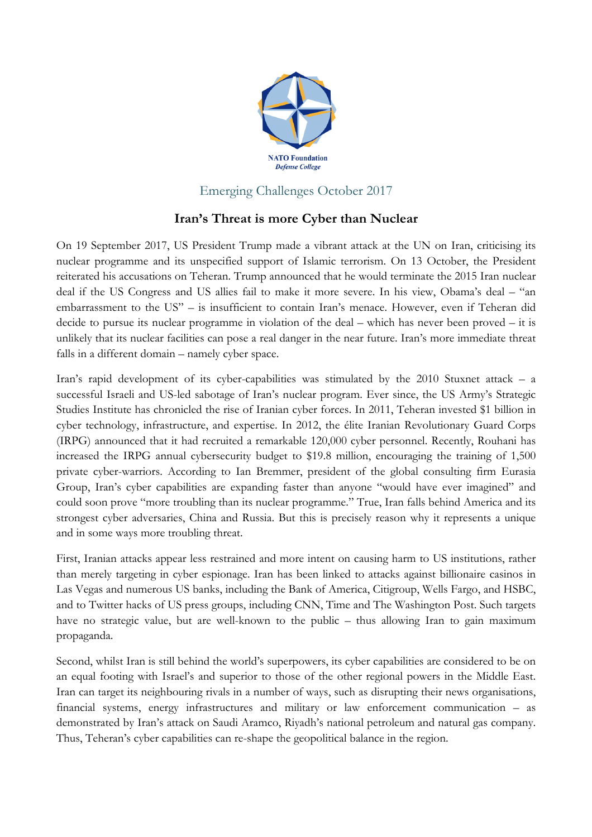

## Emerging Challenges October 2017

## **Iran's Threat is more Cyber than Nuclear**

On 19 September 2017, US President Trump made a vibrant attack at the UN on Iran, criticising its nuclear programme and its unspecified support of Islamic terrorism. On 13 October, the President reiterated his accusations on Teheran. Trump announced that he would terminate the 2015 Iran nuclear deal if the US Congress and US allies fail to make it more severe. In his view, Obama's deal – "an embarrassment to the US" – is insufficient to contain Iran's menace. However, even if Teheran did decide to pursue its nuclear programme in violation of the deal – which has never been proved – it is unlikely that its nuclear facilities can pose a real danger in the near future. Iran's more immediate threat falls in a different domain – namely cyber space.

Iran's rapid development of its cyber-capabilities was stimulated by the 2010 Stuxnet attack – a successful Israeli and US-led sabotage of Iran's nuclear program. Ever since, the US Army's Strategic Studies Institute has chronicled the rise of Iranian cyber forces. In 2011, Teheran invested \$1 billion in cyber technology, infrastructure, and expertise. In 2012, the élite Iranian Revolutionary Guard Corps (IRPG) announced that it had recruited a remarkable 120,000 cyber personnel. Recently, Rouhani has increased the IRPG annual cybersecurity budget to \$19.8 million, encouraging the training of 1,500 private cyber-warriors. According to Ian Bremmer, president of the global consulting firm Eurasia Group, Iran's cyber capabilities are expanding faster than anyone "would have ever imagined" and could soon prove "more troubling than its nuclear programme." True, Iran falls behind America and its strongest cyber adversaries, China and Russia. But this is precisely reason why it represents a unique and in some ways more troubling threat.

First, Iranian attacks appear less restrained and more intent on causing harm to US institutions, rather than merely targeting in cyber espionage. Iran has been linked to attacks against billionaire casinos in Las Vegas and numerous US banks, including the Bank of America, Citigroup, Wells Fargo, and HSBC, and to Twitter hacks of US press groups, including CNN, Time and The Washington Post. Such targets have no strategic value, but are well-known to the public – thus allowing Iran to gain maximum propaganda.

Second, whilst Iran is still behind the world's superpowers, its cyber capabilities are considered to be on an equal footing with Israel's and superior to those of the other regional powers in the Middle East. Iran can target its neighbouring rivals in a number of ways, such as disrupting their news organisations, financial systems, energy infrastructures and military or law enforcement communication – as demonstrated by Iran's attack on Saudi Aramco, Riyadh's national petroleum and natural gas company. Thus, Teheran's cyber capabilities can re-shape the geopolitical balance in the region.